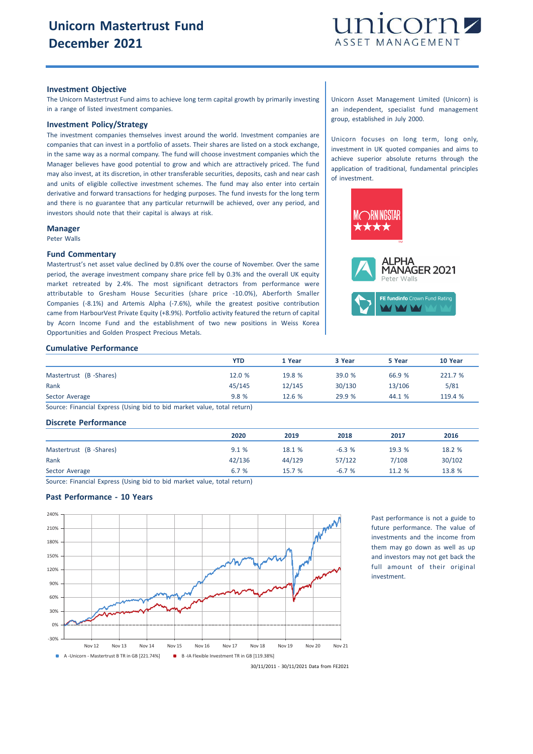

### **Investment Objective**

The Unicorn Mastertrust Fund aims to achieve long term capital growth by primarily investing in a range of listed investment companies.

# **Investment Policy/Strategy**

The investment companies themselves invest around the world. Investment companies are companies that can invest in a portfolio of assets. Their shares are listed on a stock exchange, in the same way as a normal company. The fund will choose investment companies which the Manager believes have good potential to grow and which are attractively priced. The fund may also invest, at its discretion, in other transferable securities, deposits, cash and near cash and units of eligible collective investment schemes. The fund may also enter into certain derivative and forward transactions for hedging purposes. The fund invests for the long term and there is no guarantee that any particular returnwill be achieved, over any period, and investors should note that their capital is always at risk.

#### **Manager**

Peter Walls

#### **Fund Commentary**

Mastertrust's net asset value declined by 0.8% over the course of November. Over the same period, the average investment company share price fell by 0.3% and the overall UK equity market retreated by 2.4%. The most significant detractors from performance were attributable to Gresham House Securities (share price -10.0%), Aberforth Smaller Companies (-8.1%) and Artemis Alpha (-7.6%), while the greatest positive contribution came from HarbourVest Private Equity (+8.9%). Portfolio activity featured the return of capital by Acorn Income Fund and the establishment of two new positions in Weiss Korea Opportunities and Golden Prospect Precious Metals.

# **Cumulative Performance**

|                        | YTD    | 1 Year | 3 Year | 5 Year | 10 Year |
|------------------------|--------|--------|--------|--------|---------|
| Mastertrust (B-Shares) | 12.0 % | 19.8 % | 39.0 % | 66.9 % | 221.7 % |
| Rank                   | 45/145 | 12/145 | 30/130 | 13/106 | 5/81    |
| Sector Average         | 9.8%   | 12.6%  | 29.9 % | 44.1 % | 119.4 % |

Source: Financial Express (Using bid to bid market value, total return)

## **Discrete Performance**

|                        | 2020   | 2019   | 2018    | 2017   | 2016   |
|------------------------|--------|--------|---------|--------|--------|
| Mastertrust (B-Shares) | 9.1%   | 18.1 % | $-6.3%$ | 19.3 % | 18.2 % |
| Rank                   | 42/136 | 44/129 | 57/122  | 7/108  | 30/102 |
| Sector Average         | 6.7 %  | 15.7%  | $-6.7%$ | 11.2%  | 13.8 % |

Source: Financial Express (Using bid to bid market value, total return)

## **Past Performance - 10 Years**



Past performance is not a guide to future performance. The value of investments and the income from them may go down as well as up and investors may not get back the full amount of their original investment.

30/11/2011 - 30/11/2021 Data from FE2021

Unicorn Asset Management Limited (Unicorn) is an independent, specialist fund management group, established in July 2000.

Unicorn focuses on long term, long only, investment in UK quoted companies and aims to achieve superior absolute returns through the application of traditional, fundamental principles of investment.